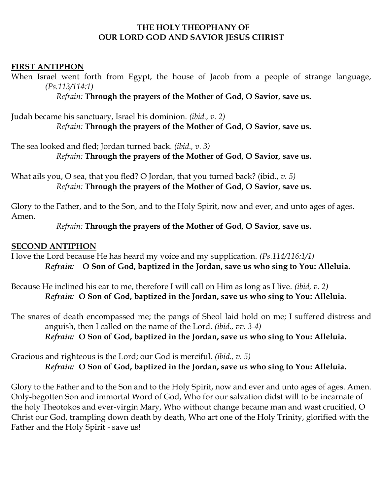#### **THE HOLY THEOPHANY OF OUR LORD GOD AND SAVIOR JESUS CHRIST**

#### **FIRST ANTIPHON**

When Israel went forth from Egypt, the house of Jacob from a people of strange language, *(Ps.113/114:1)*

*Refrain:* **Through the prayers of the Mother of God, O Savior, save us.**

Judah became his sanctuary, Israel his dominion. *(ibid., v. 2) Refrain:* **Through the prayers of the Mother of God, O Savior, save us.**

The sea looked and fled; Jordan turned back*. (ibid., v. 3) Refrain:* **Through the prayers of the Mother of God, O Savior, save us.**

What ails you, O sea, that you fled? O Jordan, that you turned back? (ibid., *v. 5) Refrain:* **Through the prayers of the Mother of God, O Savior, save us.**

Glory to the Father, and to the Son, and to the Holy Spirit, now and ever, and unto ages of ages. Amen.

*Refrain:* **Through the prayers of the Mother of God, O Savior, save us.**

#### **SECOND ANTIPHON**

I love the Lord because He has heard my voice and my supplication. *(Ps.114/116:1/1) Refrain:* **O Son of God, baptized in the Jordan, save us who sing to You: Alleluia.**

Because He inclined his ear to me, therefore I will call on Him as long as I live. *(ibid, v. 2) Refrain:* **O Son of God, baptized in the Jordan, save us who sing to You: Alleluia.**

The snares of death encompassed me; the pangs of Sheol laid hold on me; I suffered distress and anguish, then I called on the name of the Lord. *(ibid., vv. 3-4) Refrain:* **O Son of God, baptized in the Jordan, save us who sing to You: Alleluia.**

Gracious and righteous is the Lord; our God is merciful. *(ibid., v. 5) Refrain:* **O Son of God, baptized in the Jordan, save us who sing to You: Alleluia.**

Glory to the Father and to the Son and to the Holy Spirit, now and ever and unto ages of ages. Amen. Only-begotten Son and immortal Word of God, Who for our salvation didst will to be incarnate of the holy Theotokos and ever-virgin Mary, Who without change became man and wast crucified, O Christ our God, trampling down death by death, Who art one of the Holy Trinity, glorified with the Father and the Holy Spirit - save us!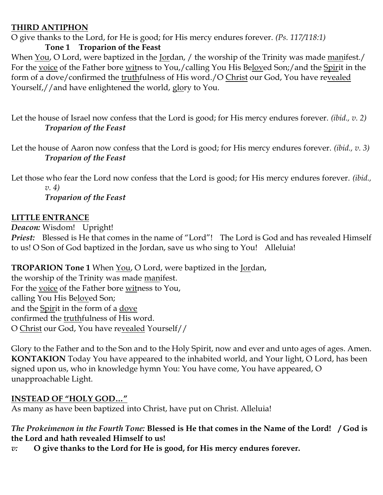#### **THIRD ANTIPHON**

O give thanks to the Lord, for He is good; for His mercy endures forever. *(Ps. 117/118:1)*

## **Tone 1 Troparion of the Feast**

When You, O Lord, were baptized in the Jordan, / the worship of the Trinity was made manifest./ For the voice of the Father bore witness to You,/calling You His Beloved Son;/and the Spirit in the form of a dove/confirmed the truthfulness of His word./O Christ our God, You have revealed Yourself,//and have enlightened the world, glory to You.

Let the house of Israel now confess that the Lord is good; for His mercy endures forever. *(ibid., v. 2) Troparion of the Feast*

Let the house of Aaron now confess that the Lord is good; for His mercy endures forever. *(ibid., v. 3) Troparion of the Feast*

Let those who fear the Lord now confess that the Lord is good; for His mercy endures forever. *(ibid., v. 4) Troparion of the Feast*

## **LITTLE ENTRANCE**

*Deacon:* Wisdom! Upright!

*Priest:* Blessed is He that comes in the name of "Lord"! The Lord is God and has revealed Himself to us! O Son of God baptized in the Jordan, save us who sing to You! Alleluia!

**TROPARION Tone 1** When You, O Lord, were baptized in the Jordan,

the worship of the Trinity was made manifest. For the voice of the Father bore witness to You, calling You His Beloved Son; and the Spirit in the form of a dove confirmed the truthfulness of His word. O Christ our God, You have revealed Yourself//

Glory to the Father and to the Son and to the Holy Spirit, now and ever and unto ages of ages. Amen. **KONTAKION** Today You have appeared to the inhabited world, and Your light, O Lord, has been signed upon us, who in knowledge hymn You: You have come, You have appeared, O unapproachable Light.

# **INSTEAD OF "HOLY GOD…"**

As many as have been baptized into Christ, have put on Christ. Alleluia!

### *The Prokeimenon in the Fourth Tone:* **Blessed is He that comes in the Name of the Lord! / God is the Lord and hath revealed Himself to us!**

*v:* **O give thanks to the Lord for He is good, for His mercy endures forever.**